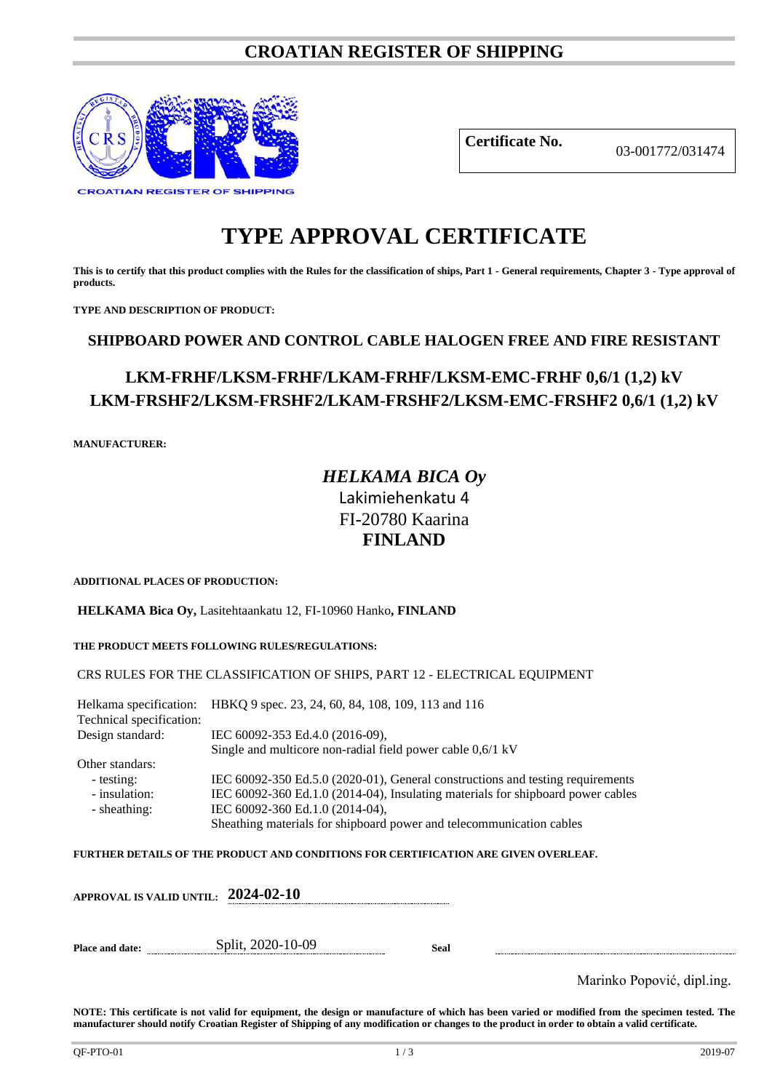# **CROATIAN REGISTER OF SHIPPING**



**Certificate No.** 03-001772/031474

# **TYPE APPROVAL CERTIFICATE**

**This is to certify that this product complies with the Rules for the classification of ships, Part 1 - General requirements, Chapter 3 - Type approval of products.**

**TYPE AND DESCRIPTION OF PRODUCT:** 

# **SHIPBOARD POWER AND CONTROL CABLE HALOGEN FREE AND FIRE RESISTANT**

# **LKM-FRHF/LKSM-FRHF/LKAM-FRHF/LKSM-EMC-FRHF 0,6/1 (1,2) kV LKM-FRSHF2/LKSM-FRSHF2/LKAM-FRSHF2/LKSM-EMC-FRSHF2 0,6/1 (1,2) kV**

**MANUFACTURER:**

# *HELKAMA BICA Oy* Lakimiehenkatu 4 FI-20780 Kaarina **FINLAND**

**ADDITIONAL PLACES OF PRODUCTION:**

**HELKAMA Bica Oy,** Lasitehtaankatu 12, FI-10960 Hanko**, FINLAND**

### **THE PRODUCT MEETS FOLLOWING RULES/REGULATIONS:**

### CRS RULES FOR THE CLASSIFICATION OF SHIPS, PART 12 - ELECTRICAL EQUIPMENT

Helkama specification: HBKQ 9 spec. 23, 24, 60, 84, 108, 109, 113 and 116 Technical specification:<br>Design standard: IEC 60092-353 Ed.4.0 (2016-09), Single and multicore non-radial field power cable 0,6/1 kV Other standars: - testing: IEC 60092-350 Ed.5.0 (2020-01), General constructions and testing requirements - insulation: IEC 60092-360 Ed.1.0 (2014-04), Insulating materials for shipboard power cables - sheathing: IEC 60092-360 Ed.1.0 (2014-04), Sheathing materials for shipboard power and telecommunication cables

**FURTHER DETAILS OF THE PRODUCT AND CONDITIONS FOR CERTIFICATION ARE GIVEN OVERLEAF.**

| APPROVAL IS VALID UNTIL: $2024$ -02-10 |                   |      |  |
|----------------------------------------|-------------------|------|--|
| <b>Place and date:</b>                 | Split, 2020-10-09 | Seal |  |

Marinko Popović, dipl.ing.

**NOTE: This certificate is not valid for equipment, the design or manufacture of which has been varied or modified from the specimen tested. The manufacturer should notify Croatian Register of Shipping of any modification or changes to the product in order to obtain a valid certificate.**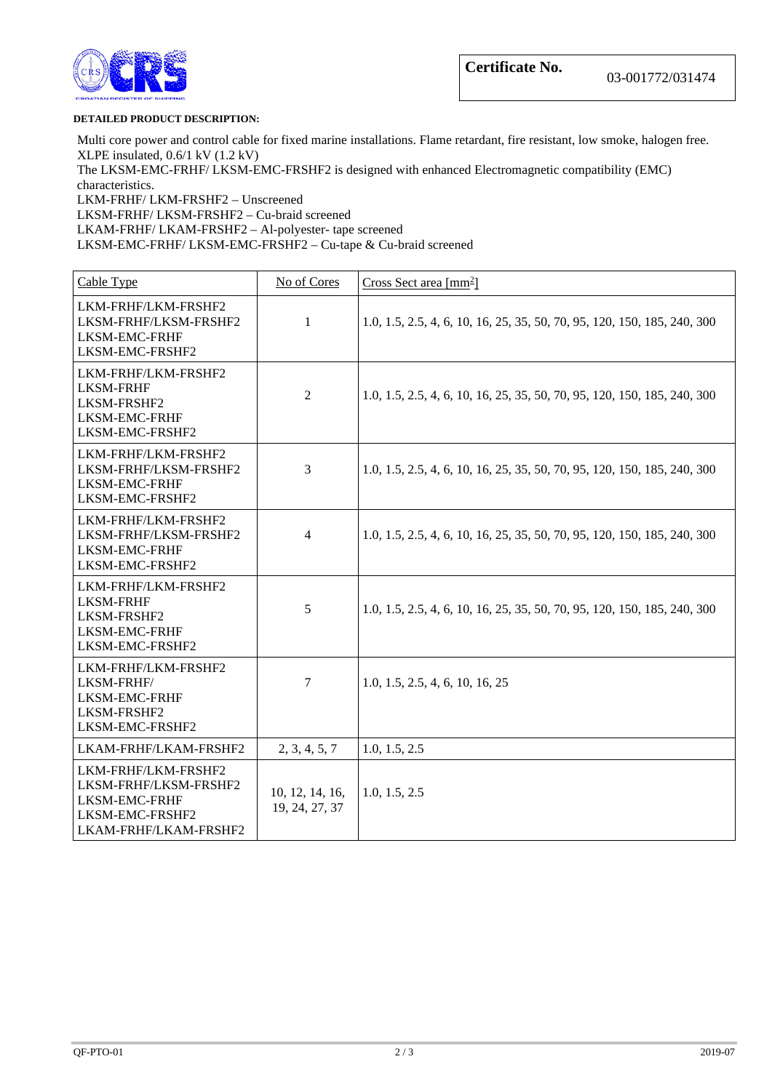

#### **DETAILED PRODUCT DESCRIPTION:**

Multi core power and control cable for fixed marine installations. Flame retardant, fire resistant, low smoke, halogen free. XLPE insulated, 0.6/1 kV (1.2 kV)

The LKSM-EMC-FRHF/ LKSM-EMC-FRSHF2 is designed with enhanced Electromagnetic compatibility (EMC) characteristics.

LKM-FRHF/ LKM-FRSHF2 – Unscreened LKSM-FRHF/ LKSM-FRSHF2 – Cu-braid screened LKAM-FRHF/ LKAM-FRSHF2 – Al-polyester- tape screened LKSM-EMC-FRHF/ LKSM-EMC-FRSHF2 – Cu-tape & Cu-braid screened

| Cable Type                                                                                                | No of Cores                       | Cross Sect area $\lceil \text{mm}^2 \rceil$                              |
|-----------------------------------------------------------------------------------------------------------|-----------------------------------|--------------------------------------------------------------------------|
| LKM-FRHF/LKM-FRSHF2<br>LKSM-FRHF/LKSM-FRSHF2<br>LKSM-EMC-FRHF<br>LKSM-EMC-FRSHF2                          | $\mathbf{1}$                      | 1.0, 1.5, 2.5, 4, 6, 10, 16, 25, 35, 50, 70, 95, 120, 150, 185, 240, 300 |
| LKM-FRHF/LKM-FRSHF2<br><b>LKSM-FRHF</b><br>LKSM-FRSHF2<br>LKSM-EMC-FRHF<br>LKSM-EMC-FRSHF2                | $\overline{2}$                    | 1.0, 1.5, 2.5, 4, 6, 10, 16, 25, 35, 50, 70, 95, 120, 150, 185, 240, 300 |
| LKM-FRHF/LKM-FRSHF2<br>LKSM-FRHF/LKSM-FRSHF2<br>LKSM-EMC-FRHF<br>LKSM-EMC-FRSHF2                          | 3                                 | 1.0, 1.5, 2.5, 4, 6, 10, 16, 25, 35, 50, 70, 95, 120, 150, 185, 240, 300 |
| LKM-FRHF/LKM-FRSHF2<br>LKSM-FRHF/LKSM-FRSHF2<br><b>LKSM-EMC-FRHF</b><br>LKSM-EMC-FRSHF2                   | $\overline{4}$                    | 1.0, 1.5, 2.5, 4, 6, 10, 16, 25, 35, 50, 70, 95, 120, 150, 185, 240, 300 |
| LKM-FRHF/LKM-FRSHF2<br><b>LKSM-FRHF</b><br>LKSM-FRSHF2<br>LKSM-EMC-FRHF<br>LKSM-EMC-FRSHF2                | 5                                 | 1.0, 1.5, 2.5, 4, 6, 10, 16, 25, 35, 50, 70, 95, 120, 150, 185, 240, 300 |
| LKM-FRHF/LKM-FRSHF2<br>LKSM-FRHF/<br>LKSM-EMC-FRHF<br>LKSM-FRSHF2<br>LKSM-EMC-FRSHF2                      | 7                                 | 1.0, 1.5, 2.5, 4, 6, 10, 16, 25                                          |
| LKAM-FRHF/LKAM-FRSHF2                                                                                     | 2, 3, 4, 5, 7                     | 1.0, 1.5, 2.5                                                            |
| LKM-FRHF/LKM-FRSHF2<br>LKSM-FRHF/LKSM-FRSHF2<br>LKSM-EMC-FRHF<br>LKSM-EMC-FRSHF2<br>LKAM-FRHF/LKAM-FRSHF2 | 10, 12, 14, 16,<br>19, 24, 27, 37 | 1.0, 1.5, 2.5                                                            |